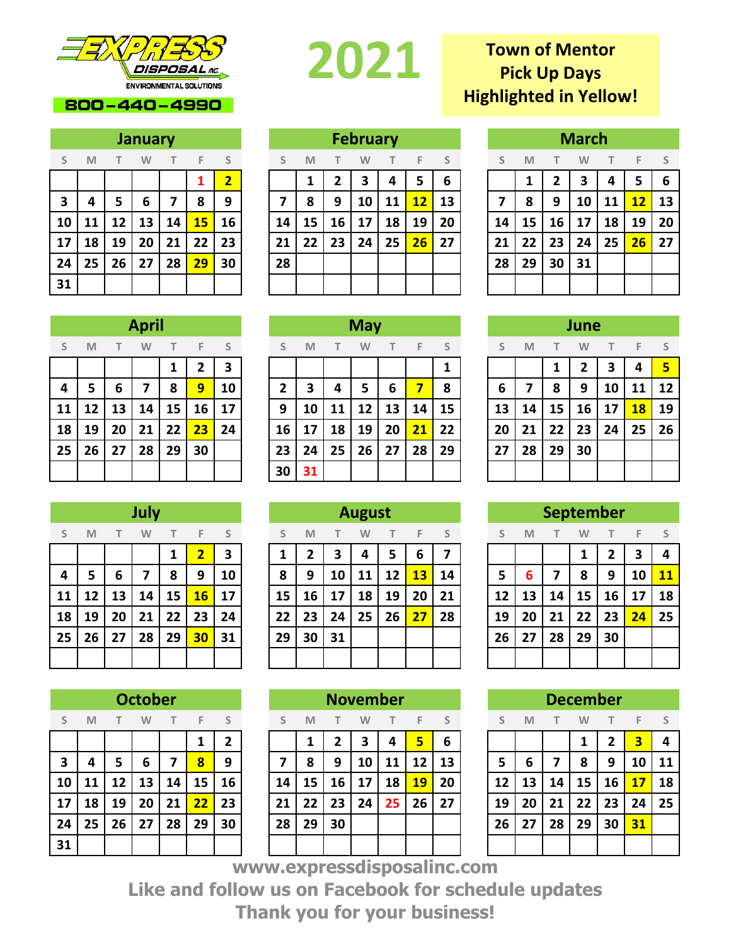

### 800-440-4990

|    | <b>January</b> |        |    |    |    |                         |  |  |  |  |  |  |  |  |  |
|----|----------------|--------|----|----|----|-------------------------|--|--|--|--|--|--|--|--|--|
| S  | M              | $\top$ | T. | F. | S  |                         |  |  |  |  |  |  |  |  |  |
|    |                |        |    |    | 1  | $\overline{\mathbf{2}}$ |  |  |  |  |  |  |  |  |  |
| 3  | 4              | 5      | 6  | 7  | 8  | 9                       |  |  |  |  |  |  |  |  |  |
| 10 | 11             | 12     | 13 | 14 | 15 | 16                      |  |  |  |  |  |  |  |  |  |
| 17 | 18             | 19     | 20 | 21 | 22 | 23                      |  |  |  |  |  |  |  |  |  |
| 24 | 25             | 26     | 27 | 28 | 29 | 30                      |  |  |  |  |  |  |  |  |  |
| 31 |                |        |    |    |    |                         |  |  |  |  |  |  |  |  |  |

# 

## **S M T W T F S S M T W T F S S M T W T F S 2 1 2 3 4 5 6 1 2 3 4 5 6 4 5 6 7 8 9 7 8 9 10 11 12 13 7 8 9 10 11 12 13 11 12 13 14 15 16 14 15 16 17 18 19 20 14 15 16 17 18 19 20 18 19 20 21 22 23 21 22 23 24 25 26 27 21 22 23 24 25 26 27 25 26 27 28 29 30 28 28 29 30 31 February**

## **Town of Mentor Pick Up Days Highlighted in Yellow!**

|    | March |    |    |              |    |    |  |  |  |  |  |  |  |  |  |
|----|-------|----|----|--------------|----|----|--|--|--|--|--|--|--|--|--|
| S  | M     | T  | F  | <sub>S</sub> |    |    |  |  |  |  |  |  |  |  |  |
|    | 1     | 2  | 3  | 4            | 5  | 6  |  |  |  |  |  |  |  |  |  |
| 7  | 8     | 9  | 10 | 11           | 12 | 13 |  |  |  |  |  |  |  |  |  |
| 14 | 15    | 16 | 17 | 18           | 19 | 20 |  |  |  |  |  |  |  |  |  |
| 21 | 22    | 23 | 24 | 25           | 26 | 27 |  |  |  |  |  |  |  |  |  |
| 28 | 29    | 30 | 31 |              |    |    |  |  |  |  |  |  |  |  |  |
|    |       |    |    |              |    |    |  |  |  |  |  |  |  |  |  |

| June |                         |        |    |    |    |                   |  |  |  |  |  |  |  |  |
|------|-------------------------|--------|----|----|----|-------------------|--|--|--|--|--|--|--|--|
| S    | M                       | $\top$ | F  | S  |    |                   |  |  |  |  |  |  |  |  |
|      |                         | 1      | 2  | 3  | 4  | 5                 |  |  |  |  |  |  |  |  |
| 6    | $\overline{\mathbf{z}}$ | 8      | 9  | 10 | 11 | $12 \ \mathrm{ }$ |  |  |  |  |  |  |  |  |
| 13   | 14                      | 15     | 16 | 17 | 18 | 19                |  |  |  |  |  |  |  |  |
| 20   | 21                      | 22     | 23 | 24 | 25 | 26                |  |  |  |  |  |  |  |  |
| 27   | 28                      | 29     | 30 |    |    |                   |  |  |  |  |  |  |  |  |
|      |                         |        |    |    |    |                   |  |  |  |  |  |  |  |  |

|    | <b>September</b> |    |    |    |    |    |  |  |  |  |  |  |  |  |  |
|----|------------------|----|----|----|----|----|--|--|--|--|--|--|--|--|--|
| S  | M                | T  | W  |    | S  |    |  |  |  |  |  |  |  |  |  |
|    |                  |    | 1  | 2  | 3  | 4  |  |  |  |  |  |  |  |  |  |
| 5  | 6                |    | 8  | 9  | 10 | 11 |  |  |  |  |  |  |  |  |  |
| 12 | 13               | 14 | 15 | 16 | 17 | 18 |  |  |  |  |  |  |  |  |  |
| 19 | 20               | 21 | 22 | 23 | 24 | 25 |  |  |  |  |  |  |  |  |  |
| 26 | 27               | 28 | 29 | 30 |    |    |  |  |  |  |  |  |  |  |  |
|    |                  |    |    |    |    |    |  |  |  |  |  |  |  |  |  |

|    | <b>December</b> |    |    |          |    |    |  |  |  |  |  |  |  |  |  |
|----|-----------------|----|----|----------|----|----|--|--|--|--|--|--|--|--|--|
| S  | M               | T  | W  | $T \t F$ | S  |    |  |  |  |  |  |  |  |  |  |
|    |                 |    | 1  | 2        | 3  | 4  |  |  |  |  |  |  |  |  |  |
| 5  | 6               | 7  | 8  | 9        | 10 | 11 |  |  |  |  |  |  |  |  |  |
| 12 | 13              | 14 | 15 | 16       | 17 | 18 |  |  |  |  |  |  |  |  |  |
| 19 | 20              | 21 | 22 | 23       | 24 | 25 |  |  |  |  |  |  |  |  |  |
| 26 | 27              | 28 | 29 | 30       | 31 |    |  |  |  |  |  |  |  |  |  |
|    |                 |    |    |          |    |    |  |  |  |  |  |  |  |  |  |

|    | July     |    |    |    |                         |    |  |  |  |  |  |  |  |  |  |
|----|----------|----|----|----|-------------------------|----|--|--|--|--|--|--|--|--|--|
| S  | M        | T  | W  | T. | - F                     | S  |  |  |  |  |  |  |  |  |  |
|    |          |    |    | 1  | $\overline{\mathbf{2}}$ | 3  |  |  |  |  |  |  |  |  |  |
| 4  | 5        | 6  | 7  | 8  | 9                       | 10 |  |  |  |  |  |  |  |  |  |
| 11 | 12       | 13 | 14 | 15 | 16                      | 17 |  |  |  |  |  |  |  |  |  |
| 18 | 19       | 20 | 21 | 22 | 23                      | 24 |  |  |  |  |  |  |  |  |  |
| 25 | 26<br>27 |    | 28 | 29 | 30                      | 31 |  |  |  |  |  |  |  |  |  |
|    |          |    |    |    |                         |    |  |  |  |  |  |  |  |  |  |

| <b>October</b>          |    |    |    |    |    |    |  |  |  |  |  |  |  |  |
|-------------------------|----|----|----|----|----|----|--|--|--|--|--|--|--|--|
| S                       | M  | T  | W  | F  | S  |    |  |  |  |  |  |  |  |  |
|                         |    |    |    |    | 1  | 2  |  |  |  |  |  |  |  |  |
| $\overline{\mathbf{3}}$ | 4  | 5  | 6  | 7  | 8  | 9  |  |  |  |  |  |  |  |  |
| 10                      | 11 | 12 | 13 | 14 | 15 | 16 |  |  |  |  |  |  |  |  |
| 17                      | 18 | 19 | 20 | 21 | 22 | 23 |  |  |  |  |  |  |  |  |
| 24                      | 25 | 26 | 27 | 28 | 29 | 30 |  |  |  |  |  |  |  |  |
| 31                      |    |    |    |    |    |    |  |  |  |  |  |  |  |  |

|    | <b>April</b> |    |    |    |    |     |  | <b>May</b> |    |    |    |        |    |              | June |    |    |    |    |           |      |
|----|--------------|----|----|----|----|-----|--|------------|----|----|----|--------|----|--------------|------|----|----|----|----|-----------|------|
| S. | M            |    | W  |    | F  | - S |  |            | M  |    | W  | $\top$ | F. | <sub>S</sub> |      | M  |    | W  |    | F         | - S  |
|    |              |    |    |    |    | 3   |  |            |    |    |    |        |    |              |      |    |    |    | З  | 4         | $-5$ |
| 4  | 5.           | 6  | 7  | 8  | 9  | 10  |  |            | 3  | 4  | 5  | 6      |    | 8            | 6    |    | 8  | 9  | 10 | 11        | 12   |
| 11 | 12           | 13 | 14 | 15 | 16 | 17  |  | 9          | 10 | 11 | 12 | 13     | 14 | 15           | 13   | 14 | 15 | 16 | 17 | <b>18</b> | 19   |
| 18 | 19           | 20 | 21 | 22 | 23 | 24  |  | 16         | 17 | 18 | 19 | 20     | 21 | 22           | 20   | 21 | 22 | 23 | 24 | 25        | 26   |
| 25 | 26           | 27 | 28 | 29 | 30 |     |  | 23         | 24 | 25 | 26 | 27     | 28 | 29           | 27   | 28 | 29 | 30 |    |           |      |
|    |              |    |    |    |    |     |  | 30         | 31 |    |    |        |    |              |      |    |    |    |    |           |      |

|    | July |    |    |    |                 |    |  | <b>August</b> |    |    |    |    |    |    |  | <b>September</b> |    |    |    |    |    |                |  |
|----|------|----|----|----|-----------------|----|--|---------------|----|----|----|----|----|----|--|------------------|----|----|----|----|----|----------------|--|
| S. | M    |    | W  |    | F               | S  |  |               | M  |    | W  | Т  | F  | S  |  |                  | M  |    | W  |    | F  | - S            |  |
|    |      |    |    |    |                 | 3  |  |               | 2  | 3  |    | 5  | 6  |    |  |                  |    |    |    |    | 3  | $\overline{a}$ |  |
| 4  | 5    | 6  | 7  | 8  | 9               | 10 |  | 8             | 9  | 10 | 11 | 12 | 13 | 14 |  | 5                | 6  |    | 8  | 9  | 10 | <b>11</b>      |  |
| 11 | 12   | 13 | 14 | 15 | 16              | 17 |  | 15            | 16 | 17 | 18 | 19 | 20 | 21 |  | 12               | 13 | 14 | 15 | 16 | 17 | 18             |  |
| 18 | 19   | 20 | 21 | 22 | 23              | 24 |  | 22            | 23 | 24 | 25 | 26 | 27 | 28 |  | 19               | 20 | 21 | 22 | 23 | 24 | 25             |  |
| 25 | 26   | 27 | 28 | 29 | 30 <sub>2</sub> | 31 |  | 29            | 30 | 31 |    |    |    |    |  | 26               | 27 | 28 | 29 | 30 |    |                |  |
|    |      |    |    |    |                 |    |  |               |    |    |    |    |    |    |  |                  |    |    |    |    |    |                |  |

|                         | <b>October</b> |    |    |    |    |    |  | <b>November</b> |    |    |    |                                |           | <b>December</b> |    |    |    |    |    |    |     |
|-------------------------|----------------|----|----|----|----|----|--|-----------------|----|----|----|--------------------------------|-----------|-----------------|----|----|----|----|----|----|-----|
| S                       | M              |    | W  |    | F  | S  |  |                 | M  |    | W  |                                | F         | S               |    | M  |    | W  |    | F  | - S |
|                         |                |    |    |    |    | ר  |  |                 |    |    |    | 4                              | 5         | 6               |    |    |    |    |    | 3  | 4   |
| $\overline{\mathbf{3}}$ | 4              | 5  | 6  | 7  | 8  | 9  |  |                 | 8  | 9  | 10 | 11                             | 12        | 13              | 5  | 6  |    | 8  | 9  | 10 | 11  |
| 10                      | 11             | 12 | 13 | 14 | 15 | 16 |  | 14              | 15 | 16 | 17 | 18                             | <b>19</b> | 20              | 12 | 13 | 14 | 15 | 16 | 17 | 18  |
| 17                      | 18             | 19 | 20 | 21 | 22 | 23 |  | 21              | 22 | 23 | 24 | 25                             | 26        | 27              | 19 | 20 | 21 | 22 | 23 | 24 | 25  |
| 24                      | 25             | 26 | 27 | 28 | 29 | 30 |  | 28              | 29 | 30 |    |                                |           |                 | 26 | 27 | 28 | 29 | 30 | 31 |     |
| 31                      |                |    |    |    |    |    |  |                 |    |    |    |                                |           |                 |    |    |    |    |    |    |     |
|                         |                |    |    |    |    |    |  |                 |    |    |    | <b>STATE OF STATE AND REAL</b> |           |                 |    |    |    |    |    |    |     |

**www.expressdisposalinc.com Like and follow us on Facebook for schedule updates Thank you for your business!**